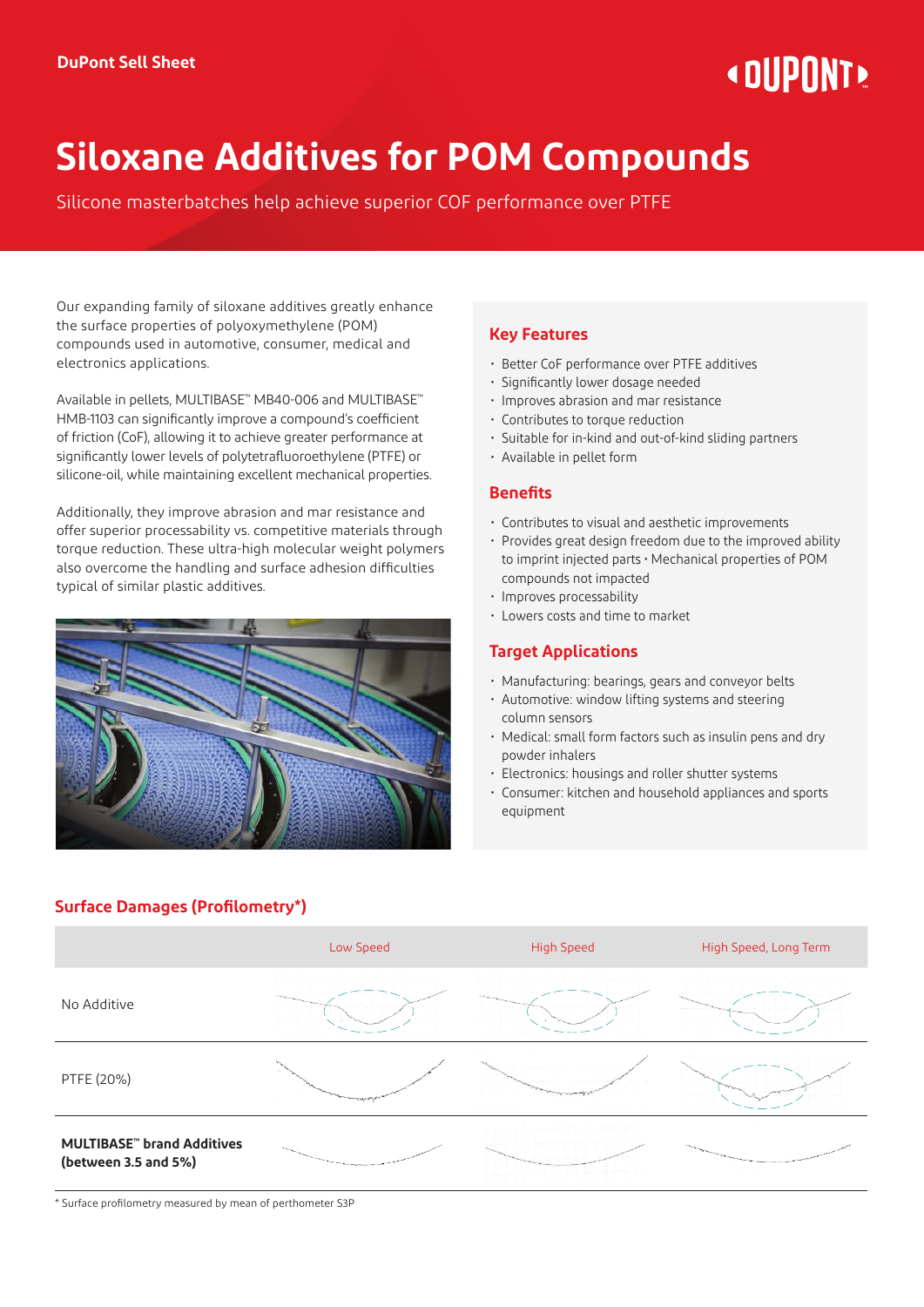# **« DIIPNNT!**

## **Siloxane Additives for POM Compounds**

Silicone masterbatches help achieve superior COF performance over PTFE

Our expanding family of siloxane additives greatly enhance the surface properties of polyoxymethylene (POM) compounds used in automotive, consumer, medical and electronics applications.

Available in pellets, MULTIBASE™ MB40-006 and MULTIBASE™ HMB-1103 can significantly improve a compound's coefficient of friction (CoF), allowing it to achieve greater performance at significantly lower levels of polytetrafluoroethylene (PTFE) or silicone-oil, while maintaining excellent mechanical properties.

Additionally, they improve abrasion and mar resistance and offer superior processability vs. competitive materials through torque reduction. These ultra-high molecular weight polymers also overcome the handling and surface adhesion difficulties typical of similar plastic additives.



### **Key Features**

- Better CoF performance over PTFE additives
- Significantly lower dosage needed
- Improves abrasion and mar resistance
- Contributes to torque reduction
- Suitable for in-kind and out-of-kind sliding partners
- Available in pellet form

#### **Benefits**

- Contributes to visual and aesthetic improvements
- Provides great design freedom due to the improved ability to imprint injected parts • Mechanical properties of POM compounds not impacted
- Improves processability
- Lowers costs and time to market

#### **Target Applications**

- Manufacturing: bearings, gears and conveyor belts
- Automotive: window lifting systems and steering column sensors
- Medical: small form factors such as insulin pens and dry powder inhalers
- Electronics: housings and roller shutter systems
- Consumer: kitchen and household appliances and sports equipment

|                                                           | Low Speed | <b>High Speed</b> | High Speed, Long Term |
|-----------------------------------------------------------|-----------|-------------------|-----------------------|
| No Additive                                               |           |                   |                       |
| PTFE (20%)                                                |           |                   |                       |
| <b>MULTIBASE"</b> brand Additives<br>(between 3.5 and 5%) |           |                   |                       |

**Surface Damages (Profilometry\*)**

\* Surface profilometry measured by mean of perthometer S3P